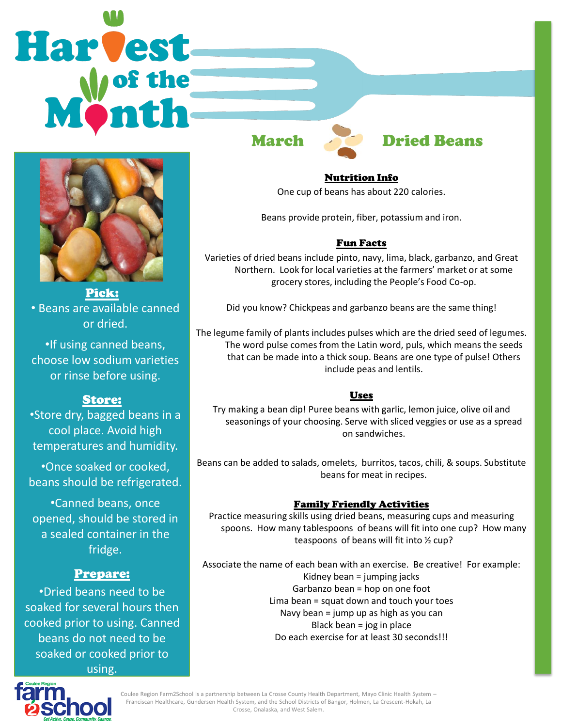# Harvest



Pick: • Beans are available canned or dried.

•If using canned beans, choose low sodium varieties or rinse before using.

# Store:

•Store dry, bagged beans in a cool place. Avoid high temperatures and humidity.

•Once soaked or cooked, beans should be refrigerated.

•Canned beans, once opened, should be stored in a sealed container in the fridge.

# Prepare:

•Dried beans need to be soaked for several hours then cooked prior to using. Canned beans do not need to be soaked or cooked prior to using.

# March **Dried Beans**

Nutrition Info One cup of beans has about 220 calories.

Beans provide protein, fiber, potassium and iron.

### Fun Facts

Varieties of dried beans include pinto, navy, lima, black, garbanzo, and Great Northern. Look for local varieties at the farmers' market or at some grocery stores, including the People's Food Co-op.

Did you know? Chickpeas and garbanzo beans are the same thing!

The legume family of plants includes pulses which are the dried seed of legumes. The word pulse comes from the Latin word, puls, which means the seeds that can be made into a thick soup. Beans are one type of pulse! Others include peas and lentils.

### Uses

Try making a bean dip! Puree beans with garlic, lemon juice, olive oil and seasonings of your choosing. Serve with sliced veggies or use as a spread on sandwiches.

Beans can be added to salads, omelets, burritos, tacos, chili, & soups. Substitute beans for meat in recipes.

### Family Friendly Activities

Practice measuring skills using dried beans, measuring cups and measuring spoons. How many tablespoons of beans will fit into one cup? How many teaspoons of beans will fit into ½ cup?

Associate the name of each bean with an exercise. Be creative! For example: Kidney bean = jumping jacks Garbanzo bean = hop on one foot Lima bean = squat down and touch your toes Navy bean = jump up as high as you can Black bean = jog in place Do each exercise for at least 30 seconds!!!



Coulee Region Farm2School is a partnership between La Crosse County Health Department, Mayo Clinic Health System – Franciscan Healthcare, Gundersen Health System, and the School Districts of Bangor, Holmen, La Crescent-Hokah, La Crosse, Onalaska, and West Salem.